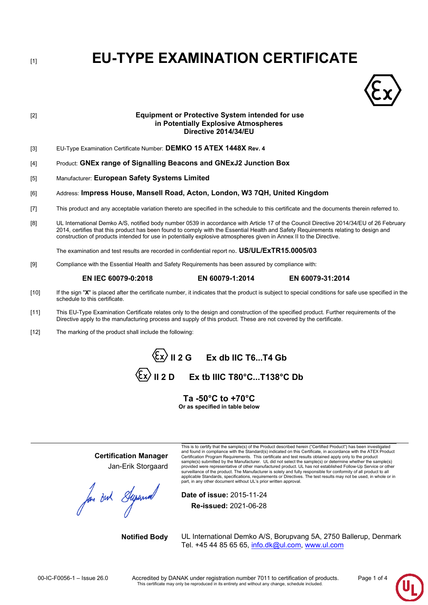[1] **EU-TYPE EXAMINATION CERTIFICATE**



## [2] **Equipment or Protective System intended for use in Potentially Explosive Atmospheres Directive 2014/34/EU**

- [3] EU-Type Examination Certificate Number: **DEMKO 15 ATEX 1448X Rev. 4**
- [4] Product: **GNEx range of Signalling Beacons and GNExJ2 Junction Box**
- [5] Manufacturer: **European Safety Systems Limited**
- [6] Address: **Impress House, Mansell Road, Acton, London, W3 7QH, United Kingdom**
- [7] This product and any acceptable variation thereto are specified in the schedule to this certificate and the documents therein referred to.
- [8] UL International Demko A/S, notified body number 0539 in accordance with Article 17 of the Council Directive 2014/34/EU of 26 February 2014, certifies that this product has been found to comply with the Essential Health and Safety Requirements relating to design and construction of products intended for use in potentially explosive atmospheres given in Annex II to the Directive.

The examination and test results are recorded in confidential report no. **US/UL/ExTR15.0005/03**

[9] Compliance with the Essential Health and Safety Requirements has been assured by compliance with:

## **EN IEC 60079-0:2018 EN 60079-1:2014 EN 60079-31:2014**

- [10] If the sign "X" is placed after the certificate number, it indicates that the product is subject to special conditions for safe use specified in the schedule to this certificate.
- [11] This EU-Type Examination Certificate relates only to the design and construction of the specified product. Further requirements of the Directive apply to the manufacturing process and supply of this product. These are not covered by the certificate.
- [12] The marking of the product shall include the following:

 $\langle \xi x \rangle$  II 2 G Ex db IIC T6...T4 Gb  $\langle \overline{\epsilon}_x \rangle$  II 2 D Ex tb IIIC T80°C...T138°C Db

> **Ta -50°C to +70°C Or as specified in table below**

**Certification Manager** Jan-Erik Storgaard

for out Superior

and found in compliance with the Standard(s) indicated on this Certificate, in accordance with the ATEX Product Certification Program Requirements. This certificate and test results obtained apply only to the product<br>sample(s) submitted by the Manufacturer. UL did not select the sample(s) or determine whether the sample(s)<br>provide surveillance of the product. The Manufacturer is solely and fully responsible for conformity of all product to all applicable Standards, specifications, requirements or Directives. The test results may not be used, in whole or in part, in any other document without UL's prior written approval.

This is to certify that the sample(s) of the Product described herein ("Certified Product") has been investigated

**Date of issue:** 2015-11-24 **Re-issued:** 2021-06-28

**Notified Body** UL International Demko A/S, Borupvang 5A, 2750 Ballerup, Denmark Tel. +45 44 85 65 65, [info.dk@ul.com,](mailto:info.dk@ul.com) [www.ul.com](http://www.ul.com/)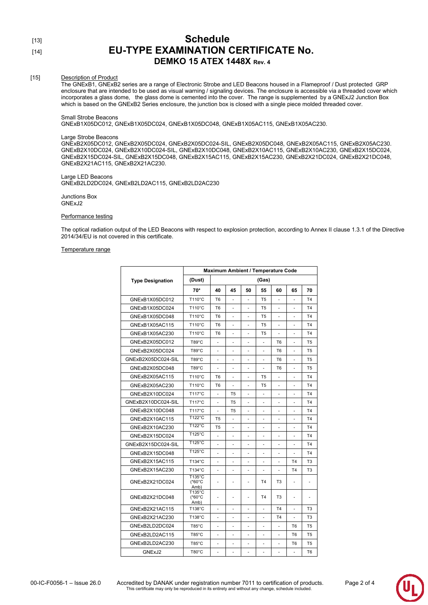## [13] **Schedule** [14] **EU-TYPE EXAMINATION CERTIFICATE No. DEMKO 15 ATEX 1448X Rev. 4**

## [15] Description of Product

The GNExB1, GNExB2 series are a range of Electronic Strobe and LED Beacons housed in a Flameproof / Dust protected GRP enclosure that are intended to be used as visual warning / signaling devices. The enclosure is accessible via a threaded cover which incorporates a glass dome, the glass dome is cemented into the cover. The range is supplemented by a GNExJ2 Junction Box which is based on the GNExB2 Series enclosure, the junction box is closed with a single piece molded threaded cover.

### Small Strobe Beacons

GNExB1X05DC012, GNExB1X05DC024, GNExB1X05DC048, GNExB1X05AC115, GNExB1X05AC230.

## Large Strobe Beacons

GNExB2X05DC012, GNExB2X05DC024, GNExB2X05DC024-SIL, GNExB2X05DC048, GNExB2X05AC115, GNExB2X05AC230. GNExB2X10DC024, GNExB2X10DC024-SIL, GNExB2X10DC048, GNExB2X10AC115, GNExB2X10AC230, GNExB2X15DC024, GNExB2X15DC024-SIL, GNExB2X15DC048, GNExB2X15AC115, GNExB2X15AC230, GNExB2X21DC024, GNExB2X21DC048, GNExB2X21AC115, GNExB2X21AC230.

#### Large LED Beacons GNExB2LD2DC024, GNExB2LD2AC115, GNExB2LD2AC230

Junctions Box GNExJ2

## Performance testing

The optical radiation output of the LED Beacons with respect to explosion protection, according to Annex II clause 1.3.1 of the Directive 2014/34/EU is not covered in this certificate.

#### Temperature range

|                         | Maximum Ambient / Temperature Code |                |                |    |                |                |                |                |  |
|-------------------------|------------------------------------|----------------|----------------|----|----------------|----------------|----------------|----------------|--|
| <b>Type Designation</b> | (Dust)<br>(Gas)                    |                |                |    |                |                |                |                |  |
|                         | 70*                                | 40             | 45             | 50 | 55             | 60             | 65             | 70             |  |
| GNExB1X05DC012          | T110°C                             | T <sub>6</sub> | ä,             | ä, | T <sub>5</sub> | ä,             | ä,             | T <sub>4</sub> |  |
| GNExB1X05DC024          | T110°C                             | T <sub>6</sub> |                |    | T <sub>5</sub> |                |                | T <sub>4</sub> |  |
| GNExB1X05DC048          | T110°C                             | T <sub>6</sub> |                |    | T <sub>5</sub> |                |                | T <sub>4</sub> |  |
| GNExB1X05AC115          | T110°C                             | T <sub>6</sub> |                |    | T <sub>5</sub> |                |                | <b>T4</b>      |  |
| GNExB1X05AC230          | T110°C                             | T <sub>6</sub> |                |    | T <sub>5</sub> |                |                | T <sub>4</sub> |  |
| GNExB2X05DC012          | T89°C                              | ä,             | ٠              | ä, | ÷              | T <sub>6</sub> | ä,             | T <sub>5</sub> |  |
| GNExB2X05DC024          | T89°C                              |                |                |    |                | T <sub>6</sub> |                | T <sub>5</sub> |  |
| GNExB2X05DC024-SIL      | T89°C                              | ä,             | ä,             | ä, |                | T <sub>6</sub> |                | T <sub>5</sub> |  |
| GNExB2X05DC048          | $T89^{\circ}C$                     |                |                |    |                | T <sub>6</sub> |                | T <sub>5</sub> |  |
| GNExB2X05AC115          | T110°C                             | T <sub>6</sub> | ä,             | ٠  | T <sub>5</sub> | ÷,             | ä,             | T <sub>4</sub> |  |
| GNExB2X05AC230          | T110°C                             | T <sub>6</sub> |                |    | T <sub>5</sub> |                |                | T <sub>4</sub> |  |
| GNExB2X10DC024          | T117°C                             |                | T <sub>5</sub> | ä, |                | ÷              | ٠              | T <sub>4</sub> |  |
| GNExB2X10DC024-SIL      | T117°C                             |                | T <sub>5</sub> |    |                |                |                | T <sub>4</sub> |  |
| GNExB2X10DC048          | T117°C                             |                | T <sub>5</sub> |    |                |                |                | T <sub>4</sub> |  |
| GNExB2X10AC115          | T122°C                             | T <sub>5</sub> | ÷,             | ä, | ä,             | İ.             | ä,             | T <sub>4</sub> |  |
| GNExB2X10AC230          | T122°C                             | T <sub>5</sub> | ä,             |    |                |                |                | T <sub>4</sub> |  |
| GNExB2X15DC024          | T125°C                             |                |                |    |                |                |                | T4             |  |
| GNExB2X15DC024-SIL      | T125°C                             |                |                |    |                |                |                | T <sub>4</sub> |  |
| GNExB2X15DC048          | T125°C                             |                | ٠              | ٠  |                | ٠              | ä,             | T <sub>4</sub> |  |
| GNExB2X15AC115          | T134°C                             | ä,             | ä,             | ä, | ä,             | L,             | T <sub>4</sub> | T <sub>3</sub> |  |
| GNExB2X15AC230          | T134°C                             |                |                |    |                |                | T <sub>4</sub> | T <sub>3</sub> |  |
| GNExB2X21DC024          | T135°C<br>$(^*60^{\circ}C$<br>Amb) |                | ٠              |    | T <sub>4</sub> | T <sub>3</sub> |                |                |  |
| GNExB2X21DC048          | T135°C<br>$(^*60^{\circ}C$<br>Amb) |                | ٠              |    | T <sub>4</sub> | T <sub>3</sub> |                |                |  |
| GNExB2X21AC115          | T138°C                             |                |                |    |                | <b>T4</b>      |                | T <sub>3</sub> |  |
| GNExB2X21AC230          | T138°C                             |                |                |    |                | <b>T4</b>      |                | T <sub>3</sub> |  |
| GNExB2LD2DC024          | T85°C                              | ٠              | ٠              |    | ٠              | ٠              | T <sub>6</sub> | T <sub>5</sub> |  |
| GNExB2LD2AC115          | T85°C                              |                |                |    |                | İ.             | T <sub>6</sub> | T <sub>5</sub> |  |
| GNExB2LD2AC230          | $T85^{\circ}$ C                    |                |                |    |                |                | T <sub>6</sub> | T <sub>5</sub> |  |
| GNExJ2                  | T80°C                              | ä,             | ä,             | ä, | ä,             | L              | ä,             | T <sub>6</sub> |  |

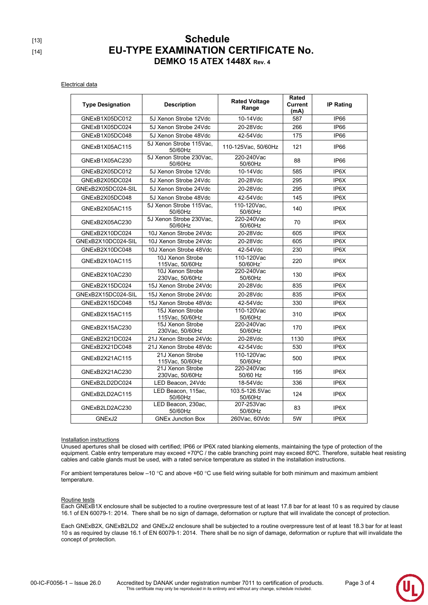# [13] **Schedule** [14] **EU-TYPE EXAMINATION CERTIFICATE No. DEMKO 15 ATEX 1448X Rev. 4**

Electrical data

| <b>Type Designation</b> | <b>Description</b>                  | <b>Rated Voltage</b><br>Range | Rated<br><b>Current</b><br>(mA) | <b>IP Rating</b>  |  |
|-------------------------|-------------------------------------|-------------------------------|---------------------------------|-------------------|--|
| GNExB1X05DC012          | 5J Xenon Strobe 12Vdc               | 10-14Vdc                      | 587                             | IP <sub>66</sub>  |  |
| GNExB1X05DC024          | 5J Xenon Strobe 24Vdc               | 20-28Vdc                      | 266                             | IP66              |  |
| GNExB1X05DC048          | 5J Xenon Strobe 48Vdc               | 42-54Vdc                      | 175                             | IP66              |  |
| GNExB1X05AC115          | 5J Xenon Strobe 115Vac.<br>50/60Hz  | 110-125Vac, 50/60Hz           | 121                             | IP66              |  |
| GNExB1X05AC230          | 5J Xenon Strobe 230Vac,<br>50/60Hz  | 220-240Vac<br>50/60Hz         | 88                              | IP <sub>66</sub>  |  |
| GNExB2X05DC012          | 5J Xenon Strobe 12Vdc               | 10-14Vdc                      | 585                             | IP6X              |  |
| GNExB2X05DC024          | 5J Xenon Strobe 24Vdc               | 20-28Vdc                      | 295                             | IP6X              |  |
| GNExB2X05DC024-SIL      | 5J Xenon Strobe 24Vdc               | 20-28Vdc                      | 295                             | IP6X              |  |
| GNExB2X05DC048          | 5J Xenon Strobe 48Vdc               | 42-54Vdc                      | 145                             | IP6X              |  |
| GNExB2X05AC115          | 5J Xenon Strobe 115Vac.<br>50/60Hz  | 110-120Vac.<br>50/60Hz        | 140                             | IP6X              |  |
| GNExB2X05AC230          | 5J Xenon Strobe 230Vac.<br>50/60Hz  | 220-240Vac<br>50/60Hz         | 70                              | IP6X              |  |
| GNExB2X10DC024          | 10J Xenon Strobe 24Vdc              | 20-28Vdc                      | 605                             | IP6X              |  |
| GNExB2X10DC024-SIL      | 10J Xenon Strobe 24Vdc              | 20-28Vdc                      | 605                             | IP6X              |  |
| GNExB2X10DC048          | 10J Xenon Strobe 48Vdc              | 42-54Vdc                      | 230                             | IP6X              |  |
| GNExB2X10AC115          | 10J Xenon Strobe<br>115Vac, 50/60Hz | 110-120Vac<br>50/60Hz         | 220                             | IP6X              |  |
| GNExB2X10AC230          | 10J Xenon Strobe<br>230Vac, 50/60Hz | 220-240Vac<br>50/60Hz         | 130                             | IP6X              |  |
| GNExB2X15DC024          | 15J Xenon Strobe 24Vdc              | 20-28Vdc                      | 835                             | IP6X              |  |
| GNExB2X15DC024-SIL      | 15J Xenon Strobe 24Vdc              | 20-28Vdc                      | 835                             | IP <sub>6</sub> X |  |
| GNExB2X15DC048          | 15J Xenon Strobe 48Vdc              | 42-54Vdc                      | 330                             | IP6X              |  |
| GNExB2X15AC115          | 15J Xenon Strobe<br>115Vac, 50/60Hz | 110-120Vac<br>50/60Hz         | 310                             | IP <sub>6</sub> X |  |
| GNExB2X15AC230          | 15J Xenon Strobe<br>230Vac, 50/60Hz | 220-240Vac<br>50/60Hz         | 170                             | IP6X              |  |
| GNExB2X21DC024          | 21J Xenon Strobe 24Vdc              | 20-28Vdc                      | 1130                            | IP6X              |  |
| GNExB2X21DC048          | 21J Xenon Strobe 48Vdc              | 42-54Vdc                      | 530                             | IP6X              |  |
| GNExB2X21AC115          | 21J Xenon Strobe<br>115Vac, 50/60Hz | 110-120Vac<br>50/60Hz         | 500                             | IP <sub>6</sub> X |  |
| GNExB2X21AC230          | 21J Xenon Strobe<br>230Vac, 50/60Hz | 220-240Vac<br>50/60 Hz        | 195                             | IP6X              |  |
| GNExB2LD2DC024          | LED Beacon, 24Vdc                   | 18-54Vdc                      | 336                             | IP6X              |  |
| GNExB2LD2AC115          | LED Beacon, 115ac,<br>50/60Hz       | 103.5-126.5Vac<br>50/60Hz     | 124                             | IP6X              |  |
| GNExB2LD2AC230          | LED Beacon, 230ac,<br>50/60Hz       | 207-253Vac<br>50/60Hz         | 83                              | IP <sub>6</sub> X |  |
| GNExJ2                  | <b>GNEx Junction Box</b>            | 260Vac. 60Vdc                 | 5W                              | IP6X              |  |

Installation instructions

Unused apertures shall be closed with certified; IP66 or IP6X rated blanking elements, maintaining the type of protection of the equipment. Cable entry temperature may exceed +70°C / the cable branching point may exceed 80°C. Therefore, suitable heat resisting cables and cable glands must be used, with a rated service temperature as stated in the installation instructions.

For ambient temperatures below -10 °C and above +60 °C use field wiring suitable for both minimum and maximum ambient temperature.

#### Routine tests

Each GNExB1X enclosure shall be subjected to a routine overpressure test of at least 17.8 bar for at least 10 s as required by clause 16.1 of EN 60079-1: 2014. There shall be no sign of damage, deformation or rupture that will invalidate the concept of protection.

Each GNExB2X, GNExB2LD2 and GNExJ2 enclosure shall be subjected to a routine overpressure test of at least 18.3 bar for at least 10 s as required by clause 16.1 of EN 60079-1: 2014. There shall be no sign of damage, deformation or rupture that will invalidate the concept of protection.